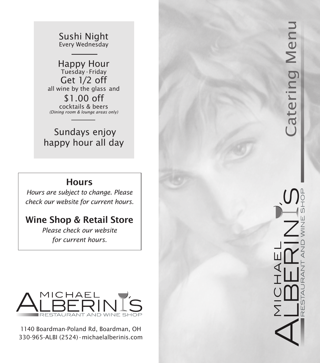Sushi Night Every Wednesday

Happy Hour Tuesday - Friday Get 1/2 off all wine by the glass and \$1.00 off cocktails & beers *(Dining room & lounge areas only)*

 Sundays enjoy happy hour all day

## **Hours**

*Hours are subject to change. Please check our website for current hours.*

## Wine Shop & Retail Store

*Please check our website for current hours.*



1140 Boardman-Poland Rd, Boardman, OH 330-965-ALBI (2524)•michaelalberinis.com